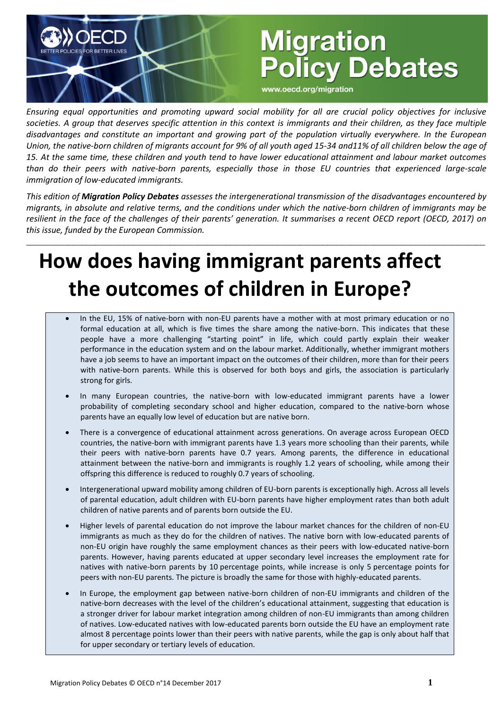# **Migration Policy Debates**

www.oecd.org/migration

*Ensuring equal opportunities and promoting upward social mobility for all are crucial policy objectives for inclusive societies. A group that deserves specific attention in this context is immigrants and their children, as they face multiple disadvantages and constitute an important and growing part of the population virtually everywhere. In the European Union, the native-born children of migrants account for 9% of all youth aged 15-34 and11% of all children below the age of 15. At the same time, these children and youth tend to have lower educational attainment and labour market outcomes than do their peers with native-born parents, especially those in those EU countries that experienced large-scale immigration of low-educated immigrants.*

*This edition of Migration Policy Debates assesses the intergenerational transmission of the disadvantages encountered by migrants, in absolute and relative terms, and the conditions under which the native-born children of immigrants may be resilient in the face of the challenges of their parents' generation. It summarises a recent OECD report (OECD, 2017) on this issue, funded by the European Commission.*

\_\_\_\_\_\_\_\_\_\_\_\_\_\_\_\_\_\_\_\_\_\_\_\_\_\_\_\_\_\_\_\_\_\_\_\_\_\_\_\_\_\_\_\_\_\_\_\_\_\_\_\_\_\_\_\_\_\_\_\_\_\_\_\_\_\_\_\_\_\_\_\_\_\_\_\_\_\_\_\_\_\_\_\_\_\_\_\_\_\_\_\_\_\_\_\_\_\_\_

## **How does having immigrant parents affect the outcomes of children in Europe?**

- In the EU, 15% of native-born with non-EU parents have a mother with at most primary education or no formal education at all, which is five times the share among the native-born. This indicates that these people have a more challenging "starting point" in life, which could partly explain their weaker performance in the education system and on the labour market. Additionally, whether immigrant mothers have a job seems to have an important impact on the outcomes of their children, more than for their peers with native-born parents. While this is observed for both boys and girls, the association is particularly strong for girls.
- In many European countries, the native-born with low-educated immigrant parents have a lower probability of completing secondary school and higher education, compared to the native-born whose parents have an equally low level of education but are native born.
- There is a convergence of educational attainment across generations. On average across European OECD countries, the native-born with immigrant parents have 1.3 years more schooling than their parents, while their peers with native-born parents have 0.7 years. Among parents, the difference in educational attainment between the native-born and immigrants is roughly 1.2 years of schooling, while among their offspring this difference is reduced to roughly 0.7 years of schooling.
- Intergenerational upward mobility among children of EU-born parents is exceptionally high. Across all levels of parental education, adult children with EU-born parents have higher employment rates than both adult children of native parents and of parents born outside the EU.
- Higher levels of parental education do not improve the labour market chances for the children of non-EU immigrants as much as they do for the children of natives. The native born with low-educated parents of non-EU origin have roughly the same employment chances as their peers with low-educated native-born parents. However, having parents educated at upper secondary level increases the employment rate for natives with native-born parents by 10 percentage points, while increase is only 5 percentage points for peers with non-EU parents. The picture is broadly the same for those with highly-educated parents.
- In Europe, the employment gap between native-born children of non-EU immigrants and children of the native-born decreases with the level of the children's educational attainment, suggesting that education is a stronger driver for labour market integration among children of non-EU immigrants than among children of natives. Low-educated natives with low-educated parents born outside the EU have an employment rate almost 8 percentage points lower than their peers with native parents, while the gap is only about half that for upper secondary or tertiary levels of education.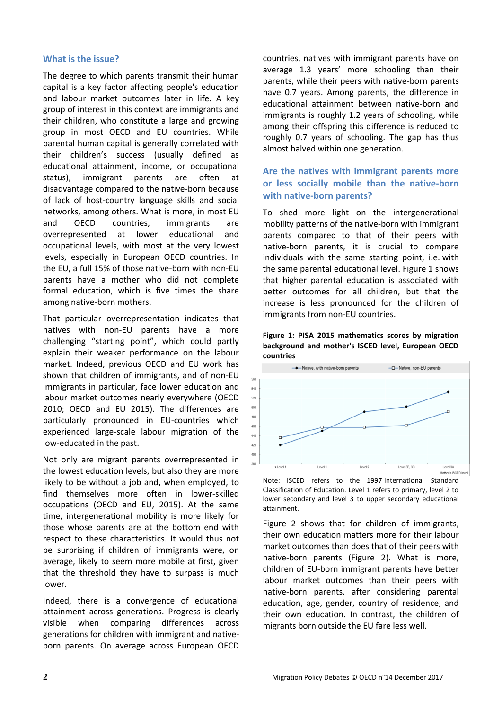#### **What is the issue?**

The degree to which parents transmit their human capital is a key factor affecting people's education and labour market outcomes later in life. A key group of interest in this context are immigrants and their children, who constitute a large and growing group in most OECD and EU countries. While parental human capital is generally correlated with their children's success (usually defined as educational attainment, income, or occupational status), immigrant parents are often at disadvantage compared to the native-born because of lack of host-country language skills and social networks, among others. What is more, in most EU and OECD countries, immigrants are overrepresented at lower educational and occupational levels, with most at the very lowest levels, especially in European OECD countries. In the EU, a full 15% of those native-born with non-EU parents have a mother who did not complete formal education, which is five times the share among native-born mothers.

That particular overrepresentation indicates that natives with non-EU parents have a more challenging "starting point", which could partly explain their weaker performance on the labour market. Indeed, previous OECD and EU work has shown that children of immigrants, and of non-EU immigrants in particular, face lower education and labour market outcomes nearly everywhere (OECD 2010; OECD and EU 2015). The differences are particularly pronounced in EU-countries which experienced large-scale labour migration of the low-educated in the past.

Not only are migrant parents overrepresented in the lowest education levels, but also they are more likely to be without a job and, when employed, to find themselves more often in lower-skilled occupations (OECD and EU, 2015). At the same time, intergenerational mobility is more likely for those whose parents are at the bottom end with respect to these characteristics. It would thus not be surprising if children of immigrants were, on average, likely to seem more mobile at first, given that the threshold they have to surpass is much lower.

Indeed, there is a convergence of educational attainment across generations. Progress is clearly visible when comparing differences across generations for children with immigrant and nativeborn parents. On average across European OECD countries, natives with immigrant parents have on average 1.3 years' more schooling than their parents, while their peers with native-born parents have 0.7 years. Among parents, the difference in educational attainment between native-born and immigrants is roughly 1.2 years of schooling, while among their offspring this difference is reduced to roughly 0.7 years of schooling. The gap has thus almost halved within one generation.

## **Are the natives with immigrant parents more or less socially mobile than the native-born with native-born parents?**

To shed more light on the intergenerational mobility patterns of the native-born with immigrant parents compared to that of their peers with native-born parents, it is crucial to compare individuals with the same starting point, i.e. with the same parental educational level. Figure 1 shows that higher parental education is associated with better outcomes for all children, but that the increase is less pronounced for the children of immigrants from non-EU countries.





Note: ISCED refers to the 1997 International Standard Classification of Education. Level 1 refers to primary, level 2 to lower secondary and level 3 to upper secondary educational attainment.

Figure 2 shows that for children of immigrants, their own education matters more for their labour market outcomes than does that of their peers with native-born parents (Figure 2). What is more, children of EU-born immigrant parents have better labour market outcomes than their peers with native-born parents, after considering parental education, age, gender, country of residence, and their own education. In contrast, the children of migrants born outside the EU fare less well.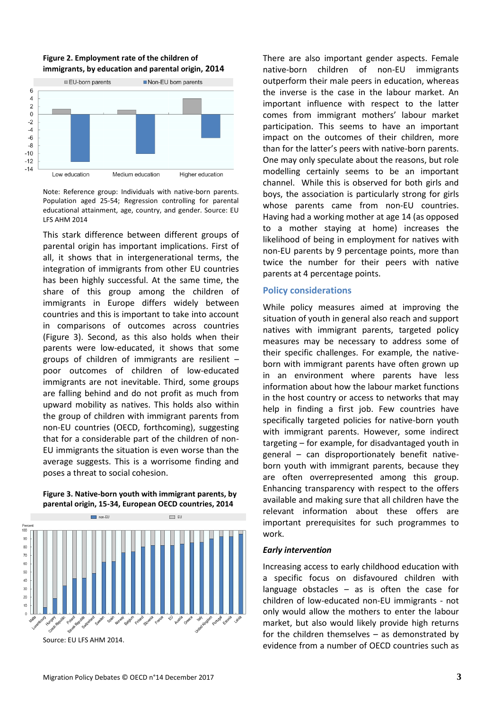



Note: Reference group: Individuals with native-born parents. Population aged 25-54; Regression controlling for parental educational attainment, age, country, and gender. Source: EU LFS AHM 2014

This stark difference between different groups of parental origin has important implications. First of all, it shows that in intergenerational terms, the integration of immigrants from other EU countries has been highly successful. At the same time, the share of this group among the children of immigrants in Europe differs widely between countries and this is important to take into account in comparisons of outcomes across countries (Figure 3). Second, as this also holds when their parents were low-educated, it shows that some groups of children of immigrants are resilient – poor outcomes of children of low-educated immigrants are not inevitable. Third, some groups are falling behind and do not profit as much from upward mobility as natives. This holds also within the group of children with immigrant parents from non-EU countries (OECD, forthcoming), suggesting that for a considerable part of the children of non-EU immigrants the situation is even worse than the average suggests. This is a worrisome finding and poses a threat to social cohesion.

#### **Figure 3. Native-born youth with immigrant parents, by parental origin, 15-34, European OECD countries, 2014**



Source: EU LFS AHM 2014.

There are also important gender aspects. Female native-born children of non-EU immigrants outperform their male peers in education, whereas the inverse is the case in the labour market. An important influence with respect to the latter comes from immigrant mothers' labour market participation. This seems to have an important impact on the outcomes of their children, more than for the latter's peers with native-born parents. One may only speculate about the reasons, but role modelling certainly seems to be an important channel. While this is observed for both girls and boys, the association is particularly strong for girls whose parents came from non-EU countries. Having had a working mother at age 14 (as opposed to a mother staying at home) increases the likelihood of being in employment for natives with non-EU parents by 9 percentage points, more than twice the number for their peers with native parents at 4 percentage points.

#### **Policy considerations**

While policy measures aimed at improving the situation of youth in general also reach and support natives with immigrant parents, targeted policy measures may be necessary to address some of their specific challenges. For example, the nativeborn with immigrant parents have often grown up in an environment where parents have less information about how the labour market functions in the host country or access to networks that may help in finding a first job. Few countries have specifically targeted policies for native-born youth with immigrant parents. However, some indirect targeting – for example, for disadvantaged youth in general – can disproportionately benefit nativeborn youth with immigrant parents, because they are often overrepresented among this group. Enhancing transparency with respect to the offers available and making sure that all children have the relevant information about these offers are important prerequisites for such programmes to work.

#### *Early intervention*

Increasing access to early childhood education with a specific focus on disfavoured children with language obstacles – as is often the case for children of low-educated non-EU immigrants - not only would allow the mothers to enter the labour market, but also would likely provide high returns for the children themselves – as demonstrated by evidence from a number of OECD countries such as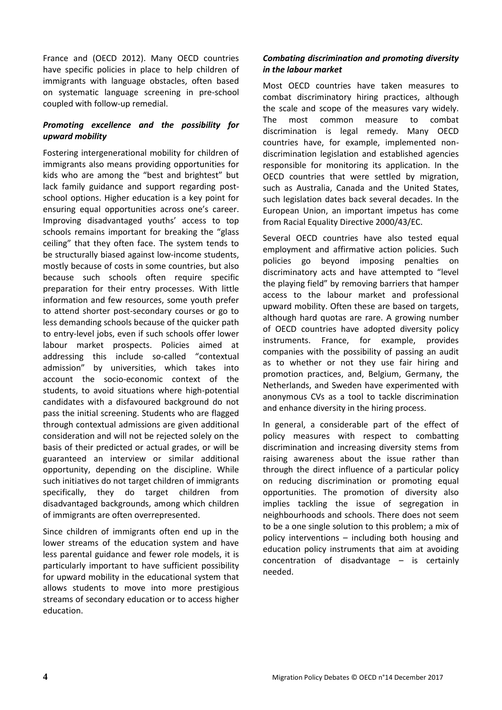France and (OECD 2012). Many OECD countries have specific policies in place to help children of immigrants with language obstacles, often based on systematic language screening in pre-school coupled with follow-up remedial.

## *Promoting excellence and the possibility for upward mobility*

Fostering intergenerational mobility for children of immigrants also means providing opportunities for kids who are among the "best and brightest" but lack family guidance and support regarding postschool options. Higher education is a key point for ensuring equal opportunities across one's career. Improving disadvantaged youths' access to top schools remains important for breaking the "glass ceiling" that they often face. The system tends to be structurally biased against low-income students, mostly because of costs in some countries, but also because such schools often require specific preparation for their entry processes. With little information and few resources, some youth prefer to attend shorter post-secondary courses or go to less demanding schools because of the quicker path to entry-level jobs, even if such schools offer lower labour market prospects. Policies aimed at addressing this include so-called "contextual admission" by universities, which takes into account the socio-economic context of the students, to avoid situations where high-potential candidates with a disfavoured background do not pass the initial screening. Students who are flagged through contextual admissions are given additional consideration and will not be rejected solely on the basis of their predicted or actual grades, or will be guaranteed an interview or similar additional opportunity, depending on the discipline. While such initiatives do not target children of immigrants specifically, they do target children from disadvantaged backgrounds, among which children of immigrants are often overrepresented.

Since children of immigrants often end up in the lower streams of the education system and have less parental guidance and fewer role models, it is particularly important to have sufficient possibility for upward mobility in the educational system that allows students to move into more prestigious streams of secondary education or to access higher education.

## *Combating discrimination and promoting diversity in the labour market*

Most OECD countries have taken measures to combat discriminatory hiring practices, although the scale and scope of the measures vary widely. The most common measure to combat discrimination is legal remedy. Many OECD countries have, for example, implemented nondiscrimination legislation and established agencies responsible for monitoring its application. In the OECD countries that were settled by migration, such as Australia, Canada and the United States, such legislation dates back several decades. In the European Union, an important impetus has come from Racial Equality Directive 2000/43/EC.

Several OECD countries have also tested equal employment and affirmative action policies. Such policies go beyond imposing penalties on discriminatory acts and have attempted to "level the playing field" by removing barriers that hamper access to the labour market and professional upward mobility. Often these are based on targets, although hard quotas are rare. A growing number of OECD countries have adopted diversity policy instruments. France, for example, provides companies with the possibility of passing an audit as to whether or not they use fair hiring and promotion practices, and, Belgium, Germany, the Netherlands, and Sweden have experimented with anonymous CVs as a tool to tackle discrimination and enhance diversity in the hiring process.

In general, a considerable part of the effect of policy measures with respect to combatting discrimination and increasing diversity stems from raising awareness about the issue rather than through the direct influence of a particular policy on reducing discrimination or promoting equal opportunities. The promotion of diversity also implies tackling the issue of segregation in neighbourhoods and schools. There does not seem to be a one single solution to this problem; a mix of policy interventions – including both housing and education policy instruments that aim at avoiding concentration of disadvantage – is certainly needed.